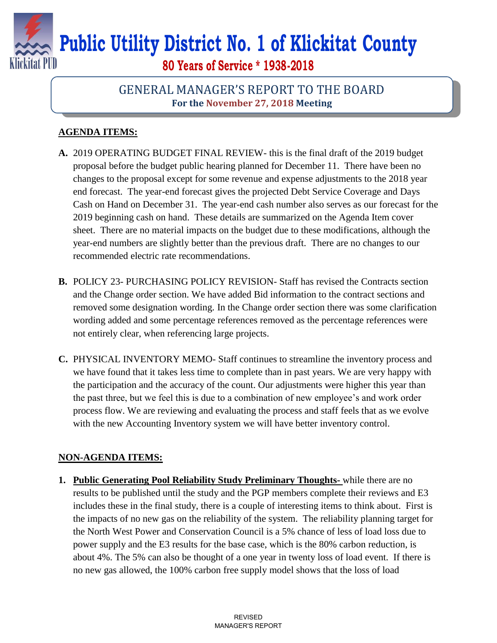

## **Public Utility District No. 1 of Klickitat County**

**80 Years of Service \* 1938-2018**

## GENERAL MANAGER'S REPORT TO THE BOARD **For the November 27, 2018 Meeting**

## **AGENDA ITEMS:**

- **A.** 2019 OPERATING BUDGET FINAL REVIEW- this is the final draft of the 2019 budget proposal before the budget public hearing planned for December 11. There have been no changes to the proposal except for some revenue and expense adjustments to the 2018 year end forecast. The year-end forecast gives the projected Debt Service Coverage and Days Cash on Hand on December 31. The year-end cash number also serves as our forecast for the 2019 beginning cash on hand. These details are summarized on the Agenda Item cover sheet. There are no material impacts on the budget due to these modifications, although the year-end numbers are slightly better than the previous draft. There are no changes to our recommended electric rate recommendations.
- **B.** POLICY 23- PURCHASING POLICY REVISION- Staff has revised the Contracts section and the Change order section. We have added Bid information to the contract sections and removed some designation wording. In the Change order section there was some clarification wording added and some percentage references removed as the percentage references were not entirely clear, when referencing large projects.
- **C.** PHYSICAL INVENTORY MEMO- Staff continues to streamline the inventory process and we have found that it takes less time to complete than in past years. We are very happy with the participation and the accuracy of the count. Our adjustments were higher this year than the past three, but we feel this is due to a combination of new employee's and work order process flow. We are reviewing and evaluating the process and staff feels that as we evolve with the new Accounting Inventory system we will have better inventory control.

## **NON-AGENDA ITEMS:**

**1. Public Generating Pool Reliability Study Preliminary Thoughts-** while there are no results to be published until the study and the PGP members complete their reviews and E3 includes these in the final study, there is a couple of interesting items to think about. First is the impacts of no new gas on the reliability of the system. The reliability planning target for the North West Power and Conservation Council is a 5% chance of less of load loss due to power supply and the E3 results for the base case, which is the 80% carbon reduction, is about 4%. The 5% can also be thought of a one year in twenty loss of load event. If there is no new gas allowed, the 100% carbon free supply model shows that the loss of load